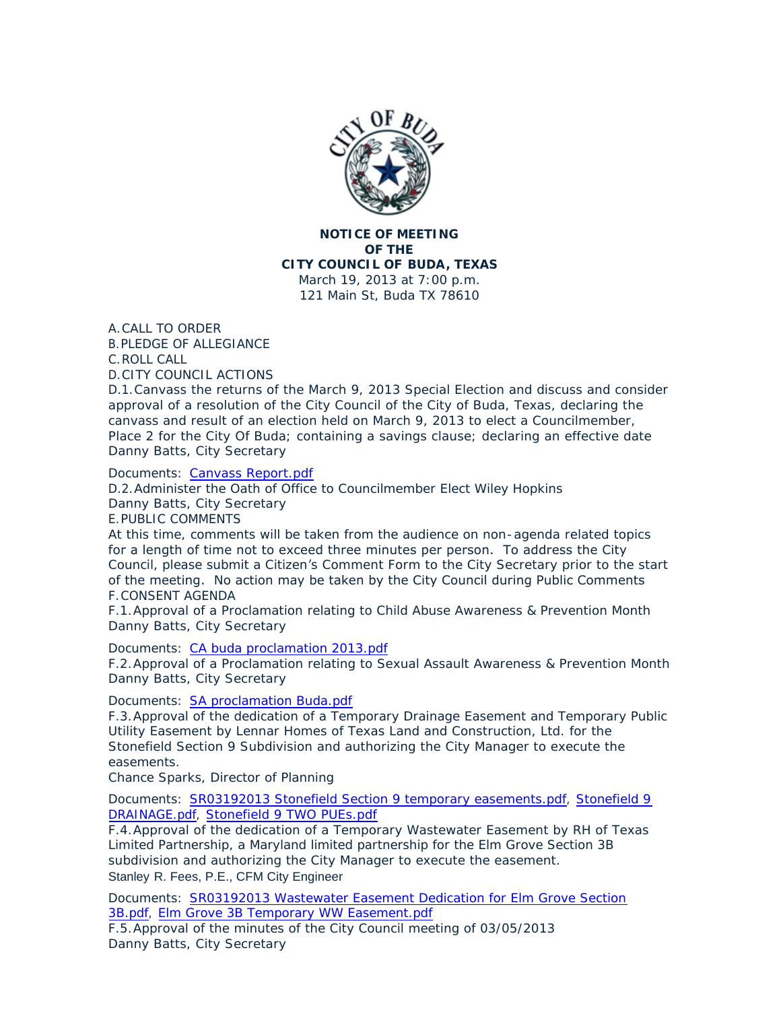

**NOTICE OF MEETING OF THE CITY COUNCIL OF BUDA, TEXAS** March 19, 2013 at 7:00 p.m. 121 Main St, Buda TX 78610

A. CALL TO ORDER

PLEDGE OF ALLEGIANCE B. C. ROLL CALL

CITY COUNCIL ACTIONS D.

D.1. Canvass the returns of the March 9, 2013 Special Election and discuss and consider approval of a resolution of the City Council of the City of Buda, Texas, declaring the canvass and result of an election held on March 9, 2013 to elect a Councilmember, Place 2 for the City Of Buda; containing a savings clause; declaring an effective date Danny Batts, City Secretary

Documents: [Canvass Report.pdf](http://ci.buda.tx.us/AgendaCenter/ViewFile/Item/232?fileID=574)

D.2. Administer the Oath of Office to Councilmember Elect Wiley Hopkins Danny Batts, City Secretary E. PUBLIC COMMENTS

At this time, comments will be taken from the audience on non-agenda related topics for a length of time not to exceed three minutes per person. To address the City Council, please submit a Citizen's Comment Form to the City Secretary prior to the start of the meeting. No action may be taken by the City Council during Public Comments F. CONSENT AGENDA

F.1. Approval of a Proclamation relating to Child Abuse Awareness & Prevention Month Danny Batts, City Secretary

Documents: [CA buda proclamation 2013.pdf](http://ci.buda.tx.us/AgendaCenter/ViewFile/Item/230?fileID=575)

F.2. Approval of a Proclamation relating to Sexual Assault Awareness & Prevention Month Danny Batts, City Secretary

Documents: [SA proclamation Buda.pdf](http://ci.buda.tx.us/AgendaCenter/ViewFile/Item/229?fileID=576)

F.3. Approval of the dedication of a Temporary Drainage Easement and Temporary Public Utility Easement by Lennar Homes of Texas Land and Construction, Ltd. for the Stonefield Section 9 Subdivision and authorizing the City Manager to execute the easements.

Chance Sparks, Director of Planning

Documents: [SR03192013 Stonefield Section 9 temporary easements.pdf](http://ci.buda.tx.us/AgendaCenter/ViewFile/Item/224?fileID=561), Stonefield 9 DRAINAGE.pdf, [Stonefield 9 TWO PUEs.pdf](http://ci.buda.tx.us/AgendaCenter/ViewFile/Item/224?fileID=563)

F.4. Approval of the dedication of a Temporary Wastewater Easement by RH of Texas Limited Partnership, a Maryland limited partnership for the Elm Grove Section 3B subdivision and authorizing the City Manager to execute the easement. Stanley R. Fees, P.E., CFM City Engineer

Documents: SR03192013 Wastewater Easement Dedication for Elm Grove Section 3B.pdf, [Elm Grove 3B Temporary WW Easement.pdf](http://ci.buda.tx.us/AgendaCenter/ViewFile/Item/221?fileID=556)

F.5. Approval of the minutes of the City Council meeting of 03/05/2013 Danny Batts, City Secretary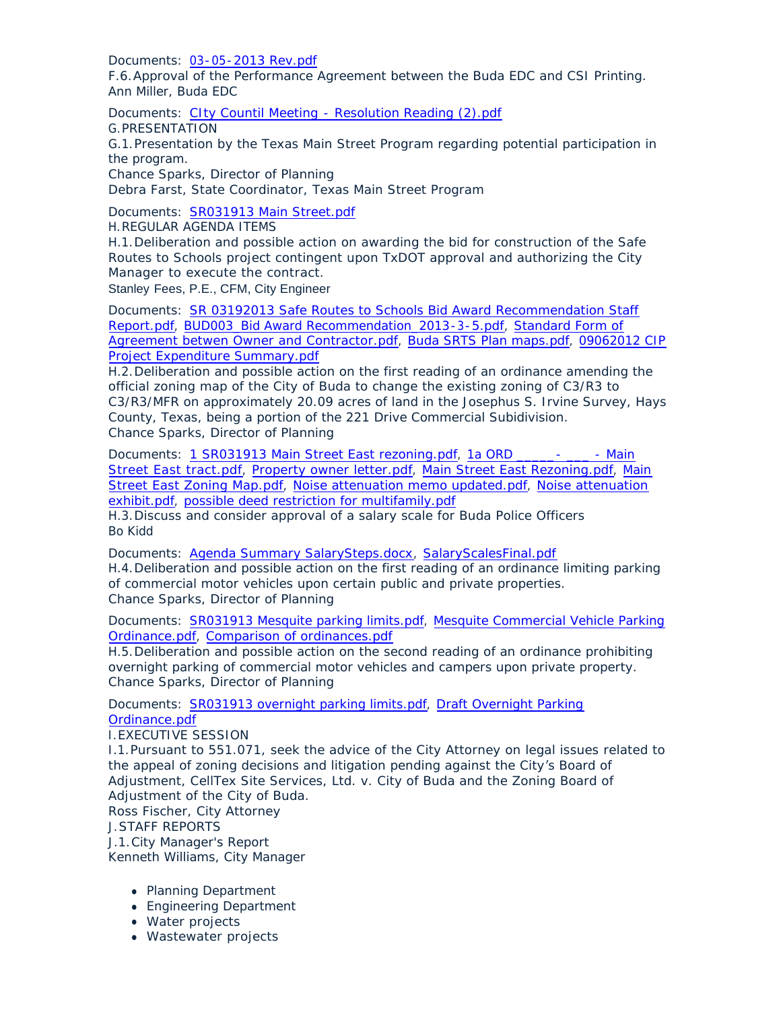Documents: [03-05-2013 Rev.pdf](http://ci.buda.tx.us/AgendaCenter/ViewFile/Item/228?fileID=580)

F.6. Approval of the Performance Agreement between the Buda EDC and CSI Printing. Ann Miller, Buda EDC

Documents: [CIty Countil Meeting - Resolution Reading \(2\).pdf](http://ci.buda.tx.us/AgendaCenter/ViewFile/Item/198?fileID=577)

G. PRESENTATION

G.1. Presentation by the Texas Main Street Program regarding potential participation in the program.

Chance Sparks, Director of Planning

Debra Farst, State Coordinator, Texas Main Street Program

Documents: [SR031913 Main Street.pdf](http://ci.buda.tx.us/AgendaCenter/ViewFile/Item/225?fileID=560)

REGULAR AGENDA ITEMS H.

H.1. Deliberation and possible action on awarding the bid for construction of the Safe Routes to Schools project contingent upon TxDOT approval and authorizing the City Manager to execute the contract.

Stanley Fees, P.E., CFM, City Engineer

Documents: SR 03192013 Safe Routes to Schools Bid Award Recommendation Staff Report.pdf, [BUD003\\_Bid Award Recommendation\\_2013-3-5.pdf,](http://ci.buda.tx.us/AgendaCenter/ViewFile/Item/220?fileID=551) [Standard Form of](http://ci.buda.tx.us/AgendaCenter/ViewFile/Item/220?fileID=552)  Agreement betwen Owner and Contractor.pdf, [Buda SRTS Plan maps.pdf](http://ci.buda.tx.us/AgendaCenter/ViewFile/Item/220?fileID=553), [09062012 CIP](http://ci.buda.tx.us/AgendaCenter/ViewFile/Item/220?fileID=554)  Project Expenditure Summary.pdf

H.2. Deliberation and possible action on the first reading of an ordinance amending the official zoning map of the City of Buda to change the existing zoning of C3/R3 to C3/R3/MFR on approximately 20.09 acres of land in the Josephus S. Irvine Survey, Hays County, Texas, being a portion of the 221 Drive Commercial Subidivision. Chance Sparks, Director of Planning

Documents: [1 SR031913 Main Street East rezoning.pdf,](http://ci.buda.tx.us/AgendaCenter/ViewFile/Item/223?fileID=565) 1a ORD \_\_\_\_\_\_- \_\_\_\_ - Main Street East tract.pdf, [Property owner letter.pdf,](http://ci.buda.tx.us/AgendaCenter/ViewFile/Item/223?fileID=572) [Main Street East Rezoning.pdf](http://ci.buda.tx.us/AgendaCenter/ViewFile/Item/223?fileID=567), [Main](http://ci.buda.tx.us/AgendaCenter/ViewFile/Item/223?fileID=568)  Street East Zoning Map.pdf, [Noise attenuation memo updated.pdf,](http://ci.buda.tx.us/AgendaCenter/ViewFile/Item/223?fileID=570) [Noise attenuation](http://ci.buda.tx.us/AgendaCenter/ViewFile/Item/223?fileID=569)  exhibit.pdf, [possible deed restriction for multifamily.pdf](http://ci.buda.tx.us/AgendaCenter/ViewFile/Item/223?fileID=571)

H.3. Discuss and consider approval of a salary scale for Buda Police Officers Bo Kidd

Documents: [Agenda Summary SalarySteps.docx](http://ci.buda.tx.us/AgendaCenter/ViewFile/Item/226?fileID=586), [SalaryScalesFinal.pdf](http://ci.buda.tx.us/AgendaCenter/ViewFile/Item/226?fileID=584) H.4. Deliberation and possible action on the first reading of an ordinance limiting parking of commercial motor vehicles upon certain public and private properties. Chance Sparks, Director of Planning

Documents: [SR031913 Mesquite parking limits.pdf](http://ci.buda.tx.us/AgendaCenter/ViewFile/Item/231?fileID=583), [Mesquite Commercial Vehicle P](http://ci.buda.tx.us/AgendaCenter/ViewFile/Item/231?fileID=582)arking Ordinance.pdf, [Comparison of ordinances.pdf](http://ci.buda.tx.us/AgendaCenter/ViewFile/Item/231?fileID=581)

H.5. Deliberation and possible action on the second reading of an ordinance prohibiting overnight parking of commercial motor vehicles and campers upon private property. Chance Sparks, Director of Planning

Documents: [SR031913 overnight parking limits.pdf,](http://ci.buda.tx.us/AgendaCenter/ViewFile/Item/222?fileID=579) Draft Overnight Parking Ordinance.pdf

EXECUTIVE SESSION I.

I.1. Pursuant to 551.071, seek the advice of the City Attorney on legal issues related to the appeal of zoning decisions and litigation pending against the City's Board of Adjustment, CellTex Site Services, Ltd. v. City of Buda and the Zoning Board of Adjustment of the City of Buda.

Ross Fischer, City Attorney

STAFF REPORTS J.

J.1. City Manager's Report

Kenneth Williams, City Manager

- Planning Department
- Engineering Department
- Water projects
- Wastewater projects